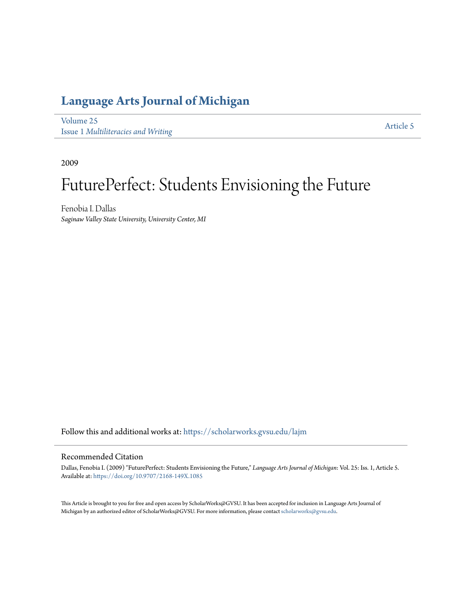## **[Language Arts Journal of Michigan](https://scholarworks.gvsu.edu/lajm?utm_source=scholarworks.gvsu.edu%2Flajm%2Fvol25%2Fiss1%2F5&utm_medium=PDF&utm_campaign=PDFCoverPages)**

[Volume 25](https://scholarworks.gvsu.edu/lajm/vol25?utm_source=scholarworks.gvsu.edu%2Flajm%2Fvol25%2Fiss1%2F5&utm_medium=PDF&utm_campaign=PDFCoverPages) Issue 1 *[Multiliteracies and Writing](https://scholarworks.gvsu.edu/lajm/vol25/iss1?utm_source=scholarworks.gvsu.edu%2Flajm%2Fvol25%2Fiss1%2F5&utm_medium=PDF&utm_campaign=PDFCoverPages)*

[Article 5](https://scholarworks.gvsu.edu/lajm/vol25/iss1/5?utm_source=scholarworks.gvsu.edu%2Flajm%2Fvol25%2Fiss1%2F5&utm_medium=PDF&utm_campaign=PDFCoverPages)

2009

## FuturePerfect: Students Envisioning the Future

Fenobia I. Dallas *Saginaw Valley State University, University Center, MI*

Follow this and additional works at: [https://scholarworks.gvsu.edu/lajm](https://scholarworks.gvsu.edu/lajm?utm_source=scholarworks.gvsu.edu%2Flajm%2Fvol25%2Fiss1%2F5&utm_medium=PDF&utm_campaign=PDFCoverPages)

#### Recommended Citation

Dallas, Fenobia I. (2009) "FuturePerfect: Students Envisioning the Future," *Language Arts Journal of Michigan*: Vol. 25: Iss. 1, Article 5. Available at: <https://doi.org/10.9707/2168-149X.1085>

This Article is brought to you for free and open access by ScholarWorks@GVSU. It has been accepted for inclusion in Language Arts Journal of Michigan by an authorized editor of ScholarWorks@GVSU. For more information, please contact [scholarworks@gvsu.edu.](mailto:scholarworks@gvsu.edu)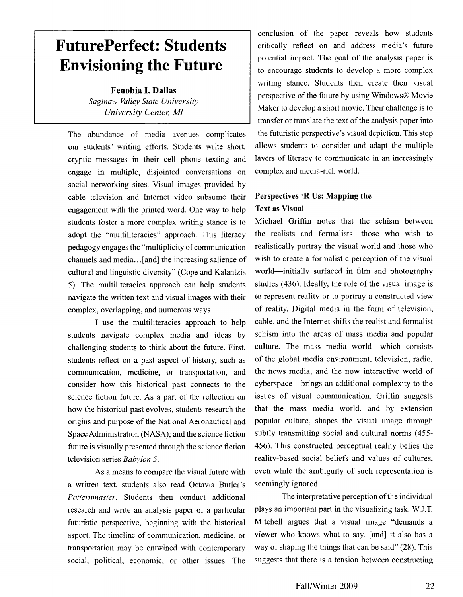## **FuturePerfect: Students Envisioning the Future**

Fenobia I. Dallas *Saginaw Valley State University University Center, MI* 

The abundance of media avenues complicates our students' writing efforts. Students write short, cryptic messages in their cell phone texting and engage in multiple, disjointed conversations on social networking sites. Visual images provided by cable television and Internet video subsume their engagement with the printed word. One way to help students foster a more complex writing stance is to adopt the "multiliteracies" approach. This literacy pedagogy engages the "multiplicity of communication channels and media ... [and] the increasing salience of cultural and linguistic diversity" (Cope and Kalantzis 5). The multiliteracies approach can help students navigate the written text and visual images with their complex, overlapping, and numerous ways.

I use the multiliteracies approach to help students navigate complex media and ideas by challenging students to think about the future. First, students reflect on a past aspect of history, such as communication, medicine, or transportation, and consider how this historical past connects to the science fiction future. As a part of the reflection on how the historical past evolves, students research the origins and purpose of the National Aeronautical and Space Administration (NASA); and the science fiction future is visually presented through the science fiction television series *Babylon 5.* 

As a means to compare the visual future with a written text, students also read Octavia Butler's *Patternmaster.* Students then conduct additional research and write an analysis paper of a particular futuristic perspeetive, beginning with the historical aspect. The timeline of communication, medicine, or transportation may be entwined with contemporary social, political, economic, or other issues. The

conclusion of the paper reveals how students critically reflect on and address media's future potential impact. The goal of the analysis paper is to encourage students to develop a more complex writing stance. Students then create their visual perspective of the future by using Windows® Movie Maker to develop a short movie. Their challenge is to transfer or translate the text of the analysis paper into the futuristic perspective's visual depiction. This step allows students to consider and adapt the multiple layers of literacy to communicate in an increasingly complex and media-rich world.

### Perspectives 'R Us: Mapping the Text as Visual

Michael Griffin notes that the schism between the realists and formalists—those who wish to realistically portray the visual world and those who wish to create a formalistic perception of the visual world-initially surfaced in film and photography studies (436). Ideally, the role of the visual image is to represent reality or to portray a constructed view of reality. Digital media in the form of television, cable, and the Internet shifts the realist and formalist schism into the areas of mass media and popular culture. The mass media world-which consists of the global media environment, television, radio, the news media, and the now interactive world of cyberspace-brings an additional complexity to the issues of visual communication. Griffin suggests that the mass media world, and by extension popular culture, shapes the visual image through subtly transmitting social and cultural norms (455 456). This constructed perceptual reality belies the reality-based social beliefs and values of cultures, even while the ambiguity of such representation is seemingly ignored.

The interpretative perception of the individual plays an important part in the visualizing task. W.J.T. Mitchell argues that a visual image "demands a viewer who knows what to say, [and] it also has a way of shaping the things that can be said" (28). This suggests that there is a tension between constructing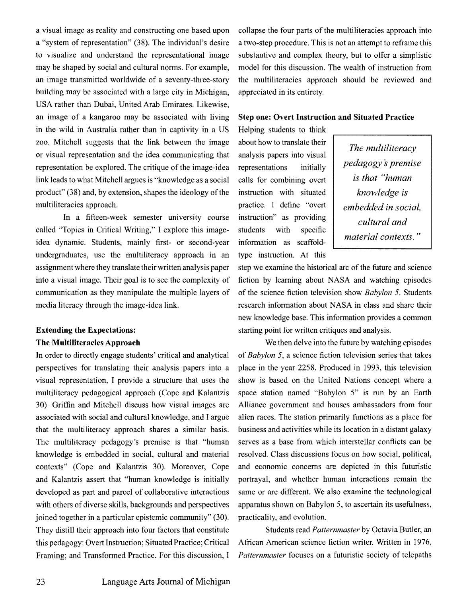a visual image as reality and constructing one based upon a "system of representation" (38). The individual's desire to visualize and understand the representational image may be shaped by social and cultural norms. For example, an image transmitted worldwide of a seventy-three-story building may be associated with a large city in Michigan, USA rather than Dubai, United Arab Emirates. Likewise, an image of a kangaroo may be associated with living in the wild in Australia rather than in captivity in a US zoo. Mitchell suggests that the link between the image or visual representation and the idea communicating that representation be explored. The critique of the image-idea link leads to what Mitchell argues is "knowledge as a social  $product''(38)$  and, by extension, shapes the ideology of the multiliteracies approach.

In a fifteen-week semester university course called "Topics in Critical Writing," I explore this imageidea dynamic. Students, mainly first- or second-year undergraduates, use the multiliteracy approach in an assignment where they translatc their written analysis paper into a visual image. Their goal is to see the complexity of communication as they manipulate the multiple layers of media literacy through the image-idea link.

## **Extending the Expectations: The Multiliteracies Approach**

In order to directly engage students' critical and analytical perspectives for translating their analysis papers into a visual representation, I provide a structure that uses the multiliteracy pedagogical approach (Cope and Kalantzis 30). Gritlin and Mitchell discuss how visual images are associated with social and cultural knowledge, and I argue that the multiliteracy approach shares a similar basis. The multiliteracy pedagogy's premise is that "human knowledge is embedded in social, cultural and material contexts" (Cope and Kalantzis 30). Moreover, Cope and Kalantzis assert that "human knowledge is initially developed as part and parcel of collaborative interactions with others of diverse skills, backgrounds and perspectives joined together in a particular epistemic community" (30). They distill their approach into four factors that constitute this pedagogy: Overt Instruction; Situated Practice; Critical Framing; and Transformed Practice. For this discussion, I collapse the four parts of the multiliteracies approach into a two-step procedure. This is not an attempt to reframe this substantive and complex theory, but to offer a simplistic model for this discussion. The wealth of instruction from the multiliteracies approach should be reviewed and appreciated in its entirety.

#### **Step one: Overt Instruction and Situated Practice**

Helping students to think about how to translate their *The multiliteracy* analysis papers into visual *The multiliteracy pedagogy's premise* calls for combining overt is that "human" instruction with situated *knowledge is*  practice. I define "overt *embedded in social*, instruction" as providing <br>students with specific  $\int$  *cultural and* information as scaffold-<br>*material contexts.*" type instruction. At this

step we examine the historical arc of the future and science fiction by learning about NASA and watching episodes of the science fiction television show *Babylon* 5. Students research information about NASA in class and share their new knowledge base. This information provides a common starting point for written critiques and analysis.

We then delve into the future by watching episodes of *Babylon* 5, a science fiction television series that takes place in the year 2258. Produced in 1993, this television show is based on the United Nations concept where a space station named "Babylon 5" is run by an Earth Alliance government and houses ambassadors from four alien races. The station primarily functions as a place for business and activities while its location in a distant galaxy serves as a base from which interstellar conflicts can be resolved. Class discussions focus on how social, political, and economic concerns are depicted in this futuristic portrayal, and whether human interactions remain the same or are different. We also examine the technological apparatus shown on Babylon 5, to ascertain its usefulness, practicality, and evolution.

Students read *Patternmaster* by Octavia Butler, an African Amcrican science fiction writer. Written in 1976, *Patternmaster* focuses on a futuristic society of telepaths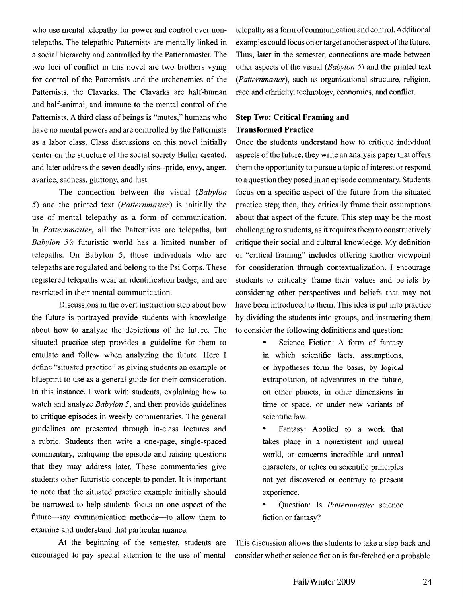who use mental telepathy for power and control over nontelepaths. The telepathic Pattemists are mentally linked in a social hierarchy and controlled by the Pattemmaster. The two foci of conflict in this novel are two brothers vying for control of the Pattemists and the archenemies of the Pattemists, the Clayarks. The Clayarks are half-human and half-animal, and immune to the mental control of the Patternists. A third class of beings is "mutes," humans who have no mental powers and are controlled by the Pattemists as a labor class. Class discussions on this novel initially center on the structure of the social society Butler created, and later address the seven deadly sins--pride, envy, anger, avarice, sadness, gluttony, and lust.

The connection between the visual *(Babylon*  5) and the printed text *(Patternmaster)* is initially the use of mental telepathy as a form of communication. In *Patternmaster*, all the Patternists are telepaths, but *Babylon* <sup>5</sup>*s* futuristic world has a limited number of telepaths. On Babylon 5, those individuals who are telepaths are regulated and belong to the Psi Corps. These registered telepaths wear an identification badge, and are restricted in their mental communication.

Discussions in the overt instruction step about how the future is portrayed provide students with knowledge about how to analyze the depictions of the future. The situated practice step provides a guideline for them to emulate and follow when analyzing the future. Here I define "situated practice" as giving students an example or blueprint to use as a general guide for their consideration. In this instance, I work with students, explaining how to watch and analyze *Babylon* 5, and then provide guidelines to critique episodes in weekly commentaries. The general guidelines are presented through in-class lectures and a rubric. Students then write a one-page, single-spaced commentary, critiquing the episode and raising questions that they may address later. These commentaries give students other futuristic concepts to ponder. It is important to note that the situated practice example initially should be narrowed to help students focus on one aspect of the future—say communication methods—to allow them to examine and understand that particular nuance.

At the beginning of the semester, students are encouraged to pay special attention to the use of mental telepathy as a form of communication and control. Additional examples could focus on or target another aspect of the future. Thus, later in the semester, connections are made between other aspects of the visual *(Babylon* 5) and the printed text *(Patternmaster),* such as organizational structure, religion, race and ethnicity, technology, economics, and conflict.

### **Step Two: Critical Framing and Transformed Practice**

Once the students understand how to critique individual aspects of the future, they write an analysis paper that offers them the opportunity to pursue a topic of interest or respond to a question they posed in an episode commentary. Students focus on a specific aspect of the future from the situated practice step; then, they critically frame their assumptions about that aspect of the future. This step may be the most challenging to students, as it requires them to constructively critique their social and cultural knowledge. My definition of "critical framing" includes offering another viewpoint for consideration through contextualization. I encourage students to critically frame their values and beliefs by considering other perspectives and beliefs that may not have been introduced to them. This idea is put into practice by dividing the students into groups, and instructing them to consider the following definitions and question:

- Science Fiction: A form of fantasy in which scientific facts, assumptions, or hypotheses form the basis, by logical extrapolation, of adventures in the future, on other planets, in other dimensions in time or space, or under new variants of scientific law.
- Fantasy: Applied to a work that takes place in a nonexistent and unreal world, or concems incredible and unreal characters, or relies on scientific principles not yet discovered or contrary to present experience.
- Question: Is *Patternmaster* science fiction or fantasy?

This discussion allows the students to take a step back and consider whether science fiction is far-fetched or a probable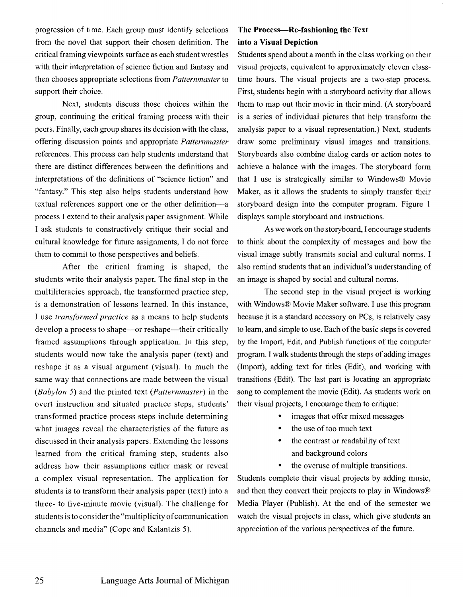progression of time. Each group must identify selections from the novel that support their chosen definition. The critical framing viewpoints surface as each student wrestles with their interpretation of science fiction and fantasy and then chooses appropriate selections from *Patternmaster* to support their choice.

Next, students discuss those choices within the group, continuing the critical framing process with their peers. Finally, each group shares its decision with the class, offering discussion points and appropriate *Patternmaster* references. This process can help students understand that there are distinct differences between the definitions and interpretations of the definitions of "science fiction" and "fantasy." This step also helps students understand how textual references support one or the other definition-a process I extend to their analysis paper assignment. While I ask students to constructively critique their social and cultural knowledge for future assignments, I do not force them to commit to those perspectives and beliefs.

After the critical framing is shaped, the studcnts write their analysis paper. The final step in the multiliteracies approach, the transformed practice step, is a dcmonstration of lessons learned. In this instance, I use *transformed practice* as a means to help students develop a process to shape—or reshape—their critically framed assumptions through application. In this step, students would now take the analysis paper (text) and reshape it as a visual argument (visual). In much the same way that connections are made between the visual *(Babylon* 5) and the printed text *(Patternmaster)* in the overt instruction and situated practice steps, students' transformed practice process steps include determining what images reveal the characteristics of the future as discussed in their analysis papers. Extending the lessons learned from the critical framing step, students also address how their assumptions either mask or reveal a complex visual representation. The application for students is to transform their analysis paper (text) into a three- to five-minute movie (visual). The challenge for students is to consider the "multiplicity of communication channels and media" (Cope and Kalantzis 5).

### The Process-Re-fashioning the Text into a Visual Depiction

Students spend about a month in the class working on their visual projects, equivalent to approximately eleven classtime hours. The visual projects are a two-step process. First, students begin with a storyboard activity that allows them to map out their movie in their mind. (A storyboard is a series of individual pictures that help transform the analysis paper to a visual representation.) Next, students draw some preliminary visual images and transitions. Storyboards also combine dialog cards or action notes to achieve a balance with the images. The storyboard form that I use is strategically similar to Windows® Movie Maker, as it allows the students to simply transfer their storyboard design into the computer program. Figure I displays sample storyboard and instructions.

As we work on the storyboard, I encourage students to think about the complexity of messages and how the visual image subtly transmits social and cultural norms. I also remind students that an individual's understanding of an image is shaped by social and cultural norms.

The second step in the visual project is working with Windows® Movie Maker software. I use this program because it is a standard accessory on PCs, is relatively easy to learn, and simple to use. Each of the basic steps is covered by the Import, Edit, and Publish functions of the computer program. I walk students through the steps of adding images (Import), adding text for titles (Edit), and working with transitions (Edit). The last part is locating an appropriate song to complement the movie (Edit). As students work on their visual projects, I encourage them to critique:

- images that offer mixed messages
- the use of too much text
- the contrast or readability of text and background colors
- the overuse of multiple transitions.

Students complete their visual projects by adding music, and then they convert their projects to play in Windows® Media Player (Publish). At the end of the semester we watch the visual projects in class, which give students an appreciation of the various perspectives of the future.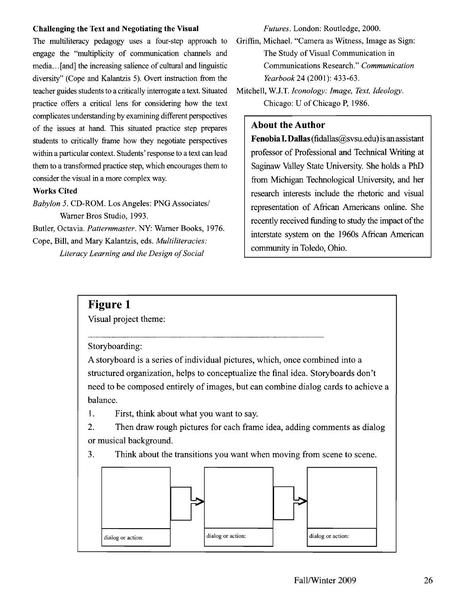#### Challenging the Text and Negotiating the Visual

The multiliteracy pedagogy uses a four-step approach to engage the "multiplicity of communication channels and media... [and] the increasing salience of cultural and linguistic diversity" (Cope and Kalantzis 5). Overt instruction from the teacher guides students to a critically interrogate a text. Situated practice offers a critical lens for considering how the text complicates understanding by examining different perspectives of the issues at hand. This situated practice step prepares students to critically frame how they negotiate perspectives within a particular context. Students' response to a text can lead them to a transformed practice step, which encourages them to consider the visual in a more complex way.

#### Works Cited

*Babylon* 5. CD-ROM. Los Angeles: PNG Associates/ Warner Bros Studio, 1993.

Butler, Octavia. *Patternmaster.* NY: Warner Books, 1976. Cope, Bill, and Mary Kalantzis, eds. *Multiliteracies: Literacy Learning and the Design of Social* 

*Futures.* London: Routledge, 2000.

Griffin, Michael. "Camera as Witness, Image as Sign: The Study of Visual Communication in Communications Research." *Communication Yearbook* 24 (2001): 433-63.

Mitchell, W.J.T. *Iconology: Image, Text, Ideology.* Chicago: U of Chicago P, 1986.

#### **About the Author**

**Fenobia I. Dallas** (fidallas  $(a)$ svsu.edu) is an assistant professor of Professional and Technical Writing at Saginaw Valley State University. She holds a PhD from Michigan Technological University, and her research interests include the rhetoric and visual representation of African Americans online. She recently received funding to study the impact of the interstate system on the 1960s African American community in Toledo, Ohio.

## **Figure 1**

Visual project theme:

Storyboarding:

A storyboard is a series of individual pictures, which, once combined into a structured organization, helps to conceptualize the final idea. Storyboards don't need to be composed entirely of images, but can combine dialog cards to achieve a balance.

1. First, think about what you want to say.

2. Then draw rough pictures for each frame idea, adding comments as dialog or musical background.

3. Think about the transitions you want when moving from scene to scene.